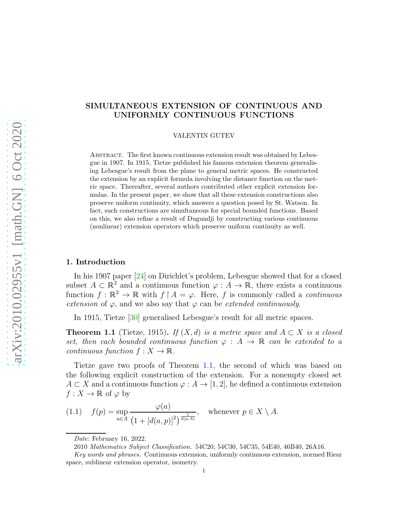# SIMULTANEOUS EXTENSION OF CONTINUOUS AND UNIFORMLY CONTINUOUS FUNCTIONS

#### VALENTIN GUTEV

Abstract. The first known continuous extension result was obtained by Lebesgue in 1907. In 1915, Tietze published his famous extension theorem generalising Lebesgue's result from the plane to general metric spaces. He constructed the extension by an explicit formula involving the distance function on the metric space. Thereafter, several authors contributed other explicit extension formulas. In the present paper, we show that all these extension constructions also preserve uniform continuity, which answers a question posed by St. Watson. In fact, such constructions are simultaneous for special bounded functions. Based on this, we also refine a result of Dugundji by constructing various continuous (nonlinear) extension operators which preserve uniform continuity as well.

# 1. Introduction

In his 1907 paper [\[24\]](#page-17-0) on Dirichlet's problem, Lebesgue showed that for a closed subset  $A \subset \mathbb{R}^2$  and a continuous function  $\varphi : A \to \mathbb{R}$ , there exists a continuous function  $f : \mathbb{R}^2 \to \mathbb{R}$  with  $f \upharpoonright A = \varphi$ . Here, f is commonly called a *continuous* extension of  $\varphi$ , and we also say that  $\varphi$  can be extended continuously.

In 1915, Tietze [\[30\]](#page-17-1) generalised Lebesgue's result for all metric spaces.

<span id="page-0-0"></span>**Theorem 1.1** (Tietze, 1915). If  $(X, d)$  is a metric space and  $A \subset X$  is a closed set, then each bounded continuous function  $\varphi : A \to \mathbb{R}$  can be extended to a continuous function  $f: X \to \mathbb{R}$ .

Tietze gave two proofs of Theorem [1.1,](#page-0-0) the second of which was based on the following explicit construction of the extension. For a nonempty closed set  $A \subset X$  and a continuous function  $\varphi : A \to [1, 2]$ , he defined a continuous extension  $f: X \to \mathbb{R}$  of  $\varphi$  by

<span id="page-0-1"></span>(1.1) 
$$
f(p) = \sup_{a \in A} \frac{\varphi(a)}{\left(1 + [d(a, p)]^2\right)^{\frac{1}{d(p, A)}}}, \text{ whenever } p \in X \setminus A.
$$

Date: February 16, 2022.

<sup>2010</sup> Mathematics Subject Classification. 54C20, 54C30, 54C35, 54E40, 46B40, 26A16.

Key words and phrases. Continuous extension, uniformly continuous extension, normed Riesz space, sublinear extension operator, isometry.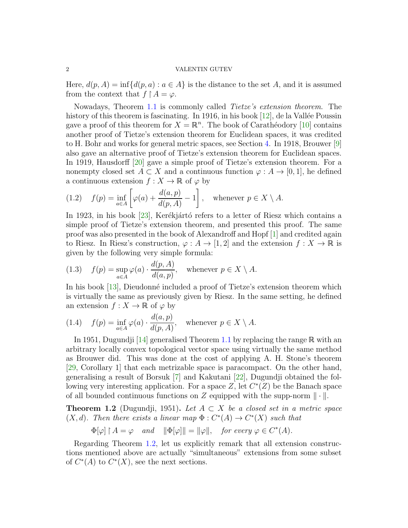Here,  $d(p, A) = \inf \{d(p, a) : a \in A\}$  is the distance to the set A, and it is assumed from the context that  $f \upharpoonright A = \varphi$ .

Nowadays, Theorem [1.1](#page-0-0) is commonly called Tietze's extension theorem. The history of this theorem is fascinating. In 1916, in his book  $[12]$ , de la Vallée Poussin gave a proof of this theorem for  $X = \mathbb{R}^n$ . The book of Carathéodory [\[10\]](#page-16-1) contains another proof of Tietze's extension theorem for Euclidean spaces, it was credited to H. Bohr and works for general metric spaces, see Section [4.](#page-13-0) In 1918, Brouwer [\[9\]](#page-16-2) also gave an alternative proof of Tietze's extension theorem for Euclidean spaces. In 1919, Hausdorff [\[20\]](#page-16-3) gave a simple proof of Tietze's extension theorem. For a nonempty closed set  $A \subset X$  and a continuous function  $\varphi : A \to [0, 1]$ , he defined a continuous extension  $f: X \to \mathbb{R}$  of  $\varphi$  by

<span id="page-1-2"></span>(1.2) 
$$
f(p) = \inf_{a \in A} \left[ \varphi(a) + \frac{d(a, p)}{d(p, A)} - 1 \right], \text{ whenever } p \in X \setminus A.
$$

In 1923, in his book  $[23]$ , Kerékjártó refers to a letter of Riesz which contains a simple proof of Tietze's extension theorem, and presented this proof. The same proof was also presented in the book of Alexandroff and Hopf [\[1\]](#page-16-4) and credited again to Riesz. In Riesz's construction,  $\varphi: A \to [1, 2]$  and the extension  $f: X \to \mathbb{R}$  is given by the following very simple formula:

<span id="page-1-3"></span>(1.3) 
$$
f(p) = \sup_{a \in A} \varphi(a) \cdot \frac{d(p, A)}{d(a, p)},
$$
 whenever  $p \in X \setminus A$ .

In his book [\[13\]](#page-16-5), Dieudonné included a proof of Tietze's extension theorem which is virtually the same as previously given by Riesz. In the same setting, he defined an extension  $f: X \to \mathbb{R}$  of  $\varphi$  by

<span id="page-1-1"></span>(1.4) 
$$
f(p) = \inf_{a \in A} \varphi(a) \cdot \frac{d(a, p)}{d(p, A)},
$$
 whenever  $p \in X \setminus A$ .

In 1951, Dugundji [\[14\]](#page-16-6) generalised Theorem [1.1](#page-0-0) by replacing the range R with an arbitrary locally convex topological vector space using virtually the same method as Brouwer did. This was done at the cost of applying A. H. Stone's theorem [\[29,](#page-17-3) Corollary 1] that each metrizable space is paracompact. On the other hand, generalising a result of Borsuk [\[7\]](#page-16-7) and Kakutani [\[22\]](#page-17-4), Dugundji obtained the following very interesting application. For a space  $Z$ , let  $C^*(Z)$  be the Banach space of all bounded continuous functions on Z equipped with the supp-norm  $\|\cdot\|$ .

<span id="page-1-0"></span>**Theorem 1.2** (Dugundji, 1951). Let  $A \subset X$  be a closed set in a metric space  $(X, d)$ . Then there exists a linear map  $\Phi : C^*(A) \to C^*(X)$  such that

$$
\Phi[\varphi] \upharpoonright A = \varphi \quad and \quad \|\Phi[\varphi]\| = \|\varphi\|, \quad \text{for every } \varphi \in C^*(A).
$$

Regarding Theorem [1.2,](#page-1-0) let us explicitly remark that all extension constructions mentioned above are actually "simultaneous" extensions from some subset of  $C^*(A)$  to  $C^*(X)$ , see the next sections.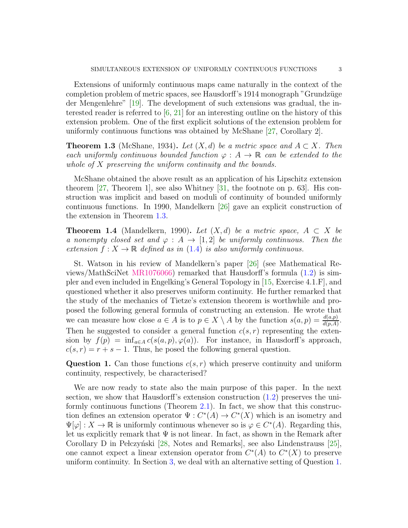Extensions of uniformly continuous maps came naturally in the context of the completion problem of metric spaces, see Hausdorff's 1914 monograph "Grundzüge" der Mengenlehre" [\[19\]](#page-16-8). The development of such extensions was gradual, the interested reader is referred to  $\left[6, 21\right]$  for an interesting outline on the history of this extension problem. One of the first explicit solutions of the extension problem for uniformly continuous functions was obtained by McShane [\[27,](#page-17-5) Corollary 2].

<span id="page-2-0"></span>**Theorem 1.3** (McShane, 1934). Let  $(X, d)$  be a metric space and  $A \subset X$ . Then each uniformly continuous bounded function  $\varphi : A \to \mathbb{R}$  can be extended to the whole of  $X$  preserving the uniform continuity and the bounds.

McShane obtained the above result as an application of his Lipschitz extension theorem  $[27,$  Theorem 1, see also Whitney  $[31,$  the footnote on p. 63. His construction was implicit and based on moduli of continuity of bounded uniformly continuous functions. In 1990, Mandelkern [\[26\]](#page-17-7) gave an explicit construction of the extension in Theorem [1.3.](#page-2-0)

<span id="page-2-2"></span>**Theorem 1.4** (Mandelkern, 1990). Let  $(X, d)$  be a metric space,  $A \subset X$  be a nonempty closed set and  $\varphi : A \to [1,2]$  be uniformly continuous. Then the extension  $f: X \to \mathbb{R}$  defined as in [\(1.4\)](#page-1-1) is also uniformly continuous.

St. Watson in his review of Mandelkern's paper [\[26\]](#page-17-7) (see Mathematical Reviews/MathSciNet [MR1076066\)](http://www.ams.org/mathscinet-getitem?mr=1076066) remarked that Hausdorff's formula [\(1.2\)](#page-1-2) is simpler and even included in Engelking's General Topology in [\[15,](#page-16-11) Exercise 4.1.F], and questioned whether it also preserves uniform continuity. He further remarked that the study of the mechanics of Tietze's extension theorem is worthwhile and proposed the following general formula of constructing an extension. He wrote that we can measure how close  $a \in A$  is to  $p \in X \setminus A$  by the function  $s(a, p) = \frac{d(a, p)}{d(p, A)}$ . Then he suggested to consider a general function  $c(s, r)$  representing the extension by  $f(p) = \inf_{a \in A} c(s(a, p), \varphi(a))$ . For instance, in Hausdorff's approach,  $c(s, r) = r + s - 1$ . Thus, he posed the following general question.

<span id="page-2-1"></span>**Question 1.** Can those functions  $c(s, r)$  which preserve continuity and uniform continuity, respectively, be characterised?

We are now ready to state also the main purpose of this paper. In the next section, we show that Hausdorff's extension construction [\(1.2\)](#page-1-2) preserves the uniformly continuous functions (Theorem [2.1\)](#page-4-0). In fact, we show that this construction defines an extension operator  $\Psi : C^*(A) \to C^*(X)$  which is an isometry and  $\Psi[\varphi] : X \to \mathbb{R}$  is uniformly continuous whenever so is  $\varphi \in C^*(A)$ . Regarding this, let us explicitly remark that  $\Psi$  is not linear. In fact, as shown in the Remark after Corollary D in Pełczyński  $[28, \text{Notes and Remarks}],$  see also Lindenstrauss  $[25],$ one cannot expect a linear extension operator from  $C^*(A)$  to  $C^*(X)$  to preserve uniform continuity. In Section [3,](#page-8-0) we deal with an alternative setting of Question [1.](#page-2-1)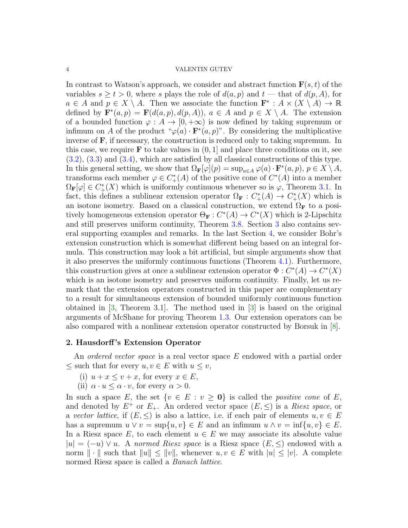In contrast to Watson's approach, we consider and abstract function  $\mathbf{F}(s,t)$  of the variables  $s \ge t > 0$ , where s plays the role of  $d(a, p)$  and  $t$  — that of  $d(p, A)$ , for  $a \in A$  and  $p \in X \setminus A$ . Then we associate the function  $\mathbf{F}^* : A \times (X \setminus A) \to \mathbb{R}$ defined by  $\mathbf{F}^*(a, p) = \mathbf{F}(d(a, p), d(p, A)), a \in A$  and  $p \in X \setminus A$ . The extension of a bounded function  $\varphi: A \to [0, +\infty)$  is now defined by taking supremum or infimum on A of the product " $\varphi(a) \cdot \mathbf{F}^*(a, p)$ ". By considering the multiplicative inverse of  $\mathbf{F}$ , if necessary, the construction is reduced only to taking supremum. In this case, we require **F** to take values in  $(0, 1]$  and place three conditions on it, see [\(3.2\)](#page-8-1), [\(3.3\)](#page-8-2) and [\(3.4\)](#page-8-3), which are satisfied by all classical constructions of this type. In this general setting, we show that  $\Omega_{\mathbf{F}}[\varphi](p) = \sup_{a \in A} \varphi(a) \cdot \mathbf{F}^*(a, p), p \in X \setminus A$ , transforms each member  $\varphi \in C^*_+(A)$  of the positive cone of  $C^*(A)$  into a member  $\Omega_{\mathbf{F}}[\varphi] \in C^*_+(X)$  which is uniformly continuous whenever so is  $\varphi$ , Theorem [3.1.](#page-9-0) In fact, this defines a sublinear extension operator  $\Omega_{\mathbf{F}}: C^*_+(A) \to C^*_+(X)$  which is an isotone isometry. Based on a classical construction, we extend  $\Omega_F$  to a positively homogeneous extension operator  $\Theta_{\mathbf{F}}: C^*(A) \to C^*(X)$  which is 2-Lipschitz and still preserves uniform continuity, Theorem [3.8.](#page-12-0) Section [3](#page-8-0) also contains several supporting examples and remarks. In the last Section [4,](#page-13-0) we consider Bohr's extension construction which is somewhat different being based on an integral formula. This construction may look a bit artificial, but simple arguments show that it also preserves the uniformly continuous functions (Theorem [4.1\)](#page-14-0). Furthermore, this construction gives at once a sublinear extension operator  $\Phi: C^*(A) \to C^*(X)$ which is an isotone isometry and preserves uniform continuity. Finally, let us remark that the extension operators constructed in this paper are complementary to a result for simultaneous extension of bounded uniformly continuous function obtained in [\[3,](#page-16-12) Theorem 3.1]. The method used in [\[3\]](#page-16-12) is based on the original arguments of McShane for proving Theorem [1.3.](#page-2-0) Our extension operators can be also compared with a nonlinear extension operator constructed by Borsuk in [\[8\]](#page-16-13).

# 2. Hausdorff 's Extension Operator

An *ordered vector space* is a real vector space E endowed with a partial order  $\leq$  such that for every  $u, v \in E$  with  $u \leq v$ ,

- (i)  $u + x \le v + x$ , for every  $x \in E$ ,
- (ii)  $\alpha \cdot u \leq \alpha \cdot v$ , for every  $\alpha > 0$ .

In such a space E, the set  $\{v \in E : v \ge 0\}$  is called the *positive cone* of E, and denoted by  $E^+$  or  $E_+$ . An ordered vector space  $(E, \leq)$  is a Riesz space, or a vector lattice, if  $(E, \leq)$  is also a lattice, i.e. if each pair of elements  $u, v \in E$ has a supremum  $u \vee v = \sup\{u, v\} \in E$  and an infimum  $u \wedge v = \inf\{u, v\} \in E$ . In a Riesz space E, to each element  $u \in E$  we may associate its absolute value  $|u| = (-u) \vee u$ . A normed Riesz space is a Riesz space  $(E, \leq)$  endowed with a norm  $\|\cdot\|$  such that  $\|u\| \leq \|v\|$ , whenever  $u, v \in E$  with  $|u| \leq |v|$ . A complete normed Riesz space is called a Banach lattice.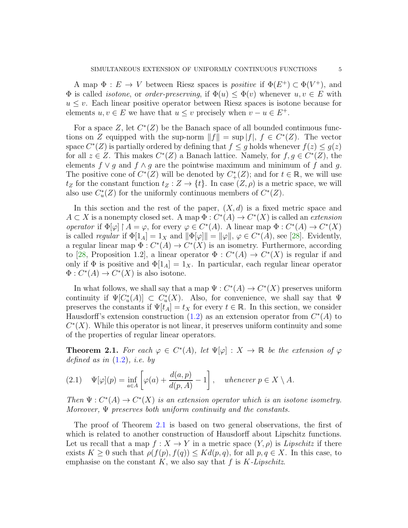A map  $\Phi: E \to V$  between Riesz spaces is *positive* if  $\Phi(E^+) \subset \Phi(V^+)$ , and  $\Phi$  is called *isotone*, or *order-preserving*, if  $\Phi(u) \leq \Phi(v)$  whenever  $u, v \in E$  with  $u \leq v$ . Each linear positive operator between Riesz spaces is isotone because for elements  $u, v \in E$  we have that  $u \leq v$  precisely when  $v - u \in E^+$ .

For a space  $Z$ , let  $C^*(Z)$  be the Banach space of all bounded continuous functions on Z equipped with the sup-norm  $||f|| = \sup |f|$ ,  $f \in C^*(Z)$ . The vector space  $C^*(Z)$  is partially ordered by defining that  $f \leq g$  holds whenever  $f(z) \leq g(z)$ for all  $z \in Z$ . This makes  $C^*(Z)$  a Banach lattice. Namely, for  $f, g \in C^*(Z)$ , the elements  $f \vee g$  and  $f \wedge g$  are the pointwise maximum and minimum of f and g. The positive cone of  $C^*(Z)$  will be denoted by  $C^*_+(Z)$ ; and for  $t \in \mathbb{R}$ , we will use  $t_Z$  for the constant function  $t_Z : Z \to \{t\}$ . In case  $(Z, \rho)$  is a metric space, we will also use  $C^*_u(Z)$  for the uniformly continuous members of  $C^*(Z)$ .

In this section and the rest of the paper,  $(X, d)$  is a fixed metric space and  $A \subset X$  is a nonempty closed set. A map  $\Phi: C^*(A) \to C^*(X)$  is called an *extension* operator if  $\Phi[\varphi] \upharpoonright A = \varphi$ , for every  $\varphi \in C^*(A)$ . A linear map  $\Phi: C^*(A) \to C^*(X)$ is called *regular* if  $\Phi[1_A] = 1_X$  and  $\|\Phi[\varphi]\| = \|\varphi\|$ ,  $\varphi \in C^*(A)$ , see [\[28\]](#page-17-8). Evidently, a regular linear map  $\Phi: C^*(A) \to C^*(X)$  is an isometry. Furthermore, according to [\[28,](#page-17-8) Proposition 1.2], a linear operator  $\Phi: C^*(A) \to C^*(X)$  is regular if and only if  $\Phi$  is positive and  $\Phi[1_A] = 1_X$ . In particular, each regular linear operator  $\Phi: C^*(A) \to C^*(X)$  is also isotone.

In what follows, we shall say that a map  $\Psi: C^*(A) \to C^*(X)$  preserves uniform continuity if  $\Psi[C_u^*(A)] \subset C_u^*(X)$ . Also, for convenience, we shall say that  $\Psi$ preserves the constants if  $\Psi[t_A] = t_X$  for every  $t \in \mathbb{R}$ . In this section, we consider Hausdorff's extension construction  $(1.2)$  as an extension operator from  $C^*(A)$  to  $C<sup>*</sup>(X)$ . While this operator is not linear, it preserves uniform continuity and some of the properties of regular linear operators.

<span id="page-4-1"></span><span id="page-4-0"></span>**Theorem 2.1.** For each  $\varphi \in C^*(A)$ , let  $\Psi[\varphi] : X \to \mathbb{R}$  be the extension of  $\varphi$ defined as in  $(1.2)$ , i.e. by

(2.1) 
$$
\Psi[\varphi](p) = \inf_{a \in A} \left[ \varphi(a) + \frac{d(a, p)}{d(p, A)} - 1 \right], \text{ whenever } p \in X \setminus A.
$$

Then  $\Psi: C^*(A) \to C^*(X)$  is an extension operator which is an isotone isometry. Moreover,  $\Psi$  preserves both uniform continuity and the constants.

The proof of Theorem [2.1](#page-4-0) is based on two general observations, the first of which is related to another construction of Hausdorff about Lipschitz functions. Let us recall that a map  $f: X \to Y$  in a metric space  $(Y, \rho)$  is Lipschitz if there exists  $K \geq 0$  such that  $\rho(f(p), f(q)) \leq K d(p, q)$ , for all  $p, q \in X$ . In this case, to emphasise on the constant K, we also say that  $f$  is  $K$ -Lipschitz.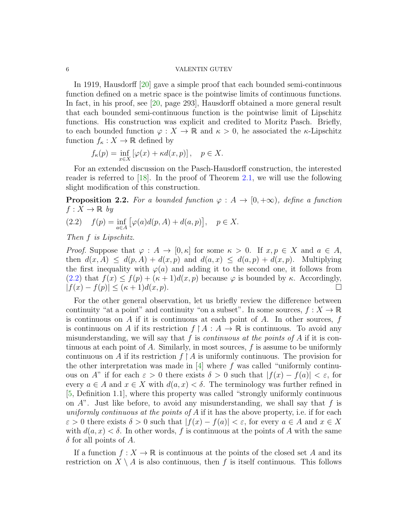In 1919, Hausdorff [\[20\]](#page-16-3) gave a simple proof that each bounded semi-continuous function defined on a metric space is the pointwise limits of continuous functions. In fact, in his proof, see [\[20,](#page-16-3) page 293], Hausdorff obtained a more general result that each bounded semi-continuous function is the pointwise limit of Lipschitz functions. His construction was explicit and credited to Moritz Pasch. Briefly, to each bounded function  $\varphi: X \to \mathbb{R}$  and  $\kappa > 0$ , he associated the  $\kappa$ -Lipschitz function  $f_{\kappa}: X \to \mathbb{R}$  defined by

$$
f_{\kappa}(p) = \inf_{x \in X} \left[ \varphi(x) + \kappa d(x, p) \right], \quad p \in X.
$$

For an extended discussion on the Pasch-Hausdorff construction, the interested reader is referred to [\[18\]](#page-16-14). In the proof of Theorem [2.1,](#page-4-0) we will use the following slight modification of this construction.

<span id="page-5-1"></span><span id="page-5-0"></span>**Proposition 2.2.** For a bounded function  $\varphi : A \to [0, +\infty)$ , define a function  $f: X \to \mathbb{R}$  by

(2.2) 
$$
f(p) = \inf_{a \in A} \left[ \varphi(a)d(p,A) + d(a,p) \right], \quad p \in X.
$$

Then f is Lipschitz.

*Proof.* Suppose that  $\varphi : A \to [0, \kappa]$  for some  $\kappa > 0$ . If  $x, p \in X$  and  $a \in A$ , then  $d(x, A) \leq d(p, A) + d(x, p)$  and  $d(a, x) \leq d(a, p) + d(x, p)$ . Multiplying the first inequality with  $\varphi(a)$  and adding it to the second one, it follows from [\(2.2\)](#page-5-0) that  $f(x) \leq f(p) + (\kappa + 1)d(x, p)$  because  $\varphi$  is bounded by  $\kappa$ . Accordingly,  $|f(x) - f(p)| \leq (\kappa + 1)d(x, p).$ 

For the other general observation, let us briefly review the difference between continuity "at a point" and continuity "on a subset". In some sources,  $f: X \to \mathbb{R}$ is continuous on A if it is continuous at each point of A. In other sources,  $f$ is continuous on A if its restriction  $f \upharpoonright A : A \to \mathbb{R}$  is continuous. To avoid any misunderstanding, we will say that f is *continuous at the points of A* if it is continuous at each point of A. Similarly, in most sources, f is assume to be uniformly continuous on A if its restriction  $f \upharpoonright A$  is uniformly continuous. The provision for the other interpretation was made in  $[4]$  where f was called "uniformly continuous on A" if for each  $\varepsilon > 0$  there exists  $\delta > 0$  such that  $|f(x) - f(a)| < \varepsilon$ , for every  $a \in A$  and  $x \in X$  with  $d(a, x) < \delta$ . The terminology was further refined in [\[5,](#page-16-16) Definition 1.1], where this property was called "strongly uniformly continuous on  $A$ ". Just like before, to avoid any misunderstanding, we shall say that f is uniformly continuous at the points of  $A$  if it has the above property, i.e. if for each  $\varepsilon > 0$  there exists  $\delta > 0$  such that  $|f(x) - f(a)| < \varepsilon$ , for every  $a \in A$  and  $x \in X$ with  $d(a, x) < \delta$ . In other words, f is continuous at the points of A with the same  $\delta$  for all points of A.

If a function  $f: X \to \mathbb{R}$  is continuous at the points of the closed set A and its restriction on  $X \setminus A$  is also continuous, then f is itself continuous. This follows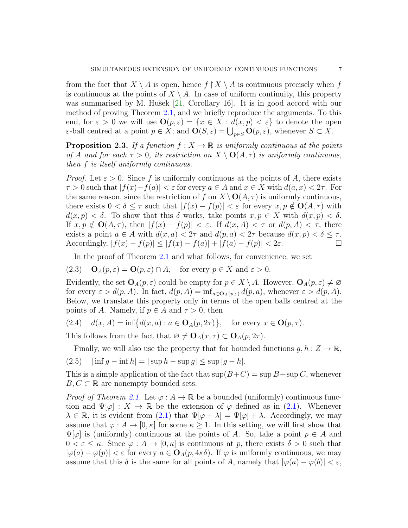from the fact that  $X \setminus A$  is open, hence  $f \restriction X \setminus A$  is continuous precisely when f is continuous at the points of  $X \setminus A$ . In case of uniform continuity, this property was summarised by M. Hušek  $[21,$  Corollary 16. It is in good accord with our method of proving Theorem [2.1,](#page-4-0) and we briefly reproduce the arguments. To this end, for  $\varepsilon > 0$  we will use  $\mathbf{O}(p, \varepsilon) = \{x \in X : d(x, p) < \varepsilon\}$  to denote the open  $\varepsilon$ -ball centred at a point  $p \in X$ ; and  $\mathbf{O}(S, \varepsilon) = \bigcup_{p \in S} \mathbf{O}(p, \varepsilon)$ , whenever  $S \subset X$ .

<span id="page-6-1"></span>**Proposition 2.3.** If a function  $f: X \to \mathbb{R}$  is uniformly continuous at the points of A and for each  $\tau > 0$ , its restriction on  $X \setminus \mathbf{O}(A, \tau)$  is uniformly continuous, then f is itself uniformly continuous.

*Proof.* Let  $\varepsilon > 0$ . Since f is uniformly continuous at the points of A, there exists  $\tau > 0$  such that  $|f(x)-f(a)| < \varepsilon$  for every  $a \in A$  and  $x \in X$  with  $d(a, x) < 2\tau$ . For the same reason, since the restriction of f on  $X \setminus \mathbf{O}(A, \tau)$  is uniformly continuous, there exists  $0 < \delta \leq \tau$  such that  $|f(x) - f(p)| < \varepsilon$  for every  $x, p \notin O(A, \tau)$  with  $d(x, p) < \delta$ . To show that this  $\delta$  works, take points  $x, p \in X$  with  $d(x, p) < \delta$ . If  $x, p \notin \mathbf{O}(A, \tau)$ , then  $|f(x) - f(p)| < \varepsilon$ . If  $d(x, A) < \tau$  or  $d(p, A) < \tau$ , there exists a point  $a \in A$  with  $d(x, a) < 2\tau$  and  $d(p, a) < 2\tau$  because  $d(x, p) < \delta \leq \tau$ . Accordingly,  $|f(x) - f(p)| \le |f(x) - f(a)| + |f(a) - f(p)| < 2\varepsilon$ .

<span id="page-6-3"></span>In the proof of Theorem [2.1](#page-4-0) and what follows, for convenience, we set

(2.3) 
$$
\mathbf{O}_A(p,\varepsilon) = \mathbf{O}(p,\varepsilon) \cap A
$$
, for every  $p \in X$  and  $\varepsilon > 0$ .

Evidently, the set  $\mathbf{O}_A(p,\varepsilon)$  could be empty for  $p \in X \setminus A$ . However,  $\mathbf{O}_A(p,\varepsilon) \neq \emptyset$ for every  $\varepsilon > d(p, A)$ . In fact,  $d(p, A) = \inf_{a \in \mathbf{O}_A(p, \varepsilon)} d(p, a)$ , whenever  $\varepsilon > d(p, A)$ . Below, we translate this property only in terms of the open balls centred at the points of A. Namely, if  $p \in A$  and  $\tau > 0$ , then

$$
(2.4) \quad d(x,A) = \inf\{d(x,a) : a \in \mathbf{O}_A(p,2\tau)\}, \quad \text{for every } x \in \mathbf{O}(p,\tau).
$$

This follows from the fact that  $\varnothing \neq \mathbf{O}_A(x, \tau) \subset \mathbf{O}_A(p, 2\tau)$ .

<span id="page-6-2"></span><span id="page-6-0"></span>Finally, we will also use the property that for bounded functions  $g, h : Z \to \mathbb{R}$ ,

 $(2.5)$  | inf g − inf h| = |sup h − sup g|  $\leq$  sup  $|g-h|$ .

This is a simple application of the fact that  $\sup(B+C) = \sup B + \sup C$ , whenever  $B, C \subset \mathbb{R}$  are nonempty bounded sets.

*Proof of Theorem [2.1.](#page-4-0)* Let  $\varphi : A \to \mathbb{R}$  be a bounded (uniformly) continuous function and  $\Psi[\varphi] : X \to \mathbb{R}$  be the extension of  $\varphi$  defined as in [\(2.1\)](#page-4-1). Whenever  $\lambda \in \mathbb{R}$ , it is evident from  $(2.1)$  that  $\Psi[\varphi + \lambda] = \Psi[\varphi] + \lambda$ . Accordingly, we may assume that  $\varphi: A \to [0, \kappa]$  for some  $\kappa \geq 1$ . In this setting, we will first show that  $\Psi[\varphi]$  is (uniformly) continuous at the points of A. So, take a point  $p \in A$  and  $0 < \varepsilon \leq \kappa$ . Since  $\varphi : A \to [0, \kappa]$  is continuous at p, there exists  $\delta > 0$  such that  $|\varphi(a)-\varphi(p)| < \varepsilon$  for every  $a \in \mathbf{O}_A(p, 4\kappa\delta)$ . If  $\varphi$  is uniformly continuous, we may assume that this  $\delta$  is the same for all points of A, namely that  $|\varphi(a) - \varphi(b)| < \varepsilon$ ,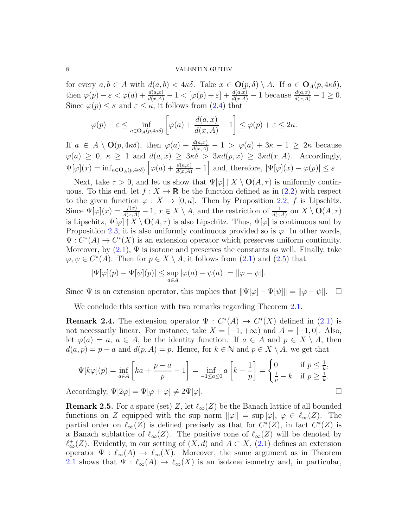for every  $a, b \in A$  with  $d(a, b) < 4\kappa\delta$ . Take  $x \in \mathbf{O}(p, \delta) \setminus A$ . If  $a \in \mathbf{O}_A(p, 4\kappa\delta)$ , then  $\varphi(p) - \varepsilon < \varphi(a) + \frac{d(a,x)}{d(x,A)} - 1 < [\varphi(p) + \varepsilon] + \frac{d(a,x)}{d(x,A)} - 1$  because  $\frac{d(a,x)}{d(x,A)} - 1 \ge 0$ . Since  $\varphi(p) \leq \kappa$  and  $\varepsilon \leq \kappa$ , it follows from [\(2.4\)](#page-6-0) that

$$
\varphi(p) - \varepsilon \le \inf_{a \in \mathbf{O}_A(p, 4\kappa \delta)} \left[ \varphi(a) + \frac{d(a, x)}{d(x, A)} - 1 \right] \le \varphi(p) + \varepsilon \le 2\kappa.
$$

If  $a \in A \setminus \mathbf{O}(p, 4\kappa\delta)$ , then  $\varphi(a) + \frac{d(a,x)}{d(x,A)} - 1 > \varphi(a) + 3\kappa - 1 \geq 2\kappa$  because  $\varphi(a) \geq 0, \ \kappa \geq 1 \ \text{and} \ d(a,x) \geq 3\kappa\delta > 3\kappa d(p,x) \geq 3\kappa d(x,A).$  Accordingly,  $\Psi[\varphi](x) = \inf_{a \in \mathbf{O}_A(p, 4\kappa\delta)} \left[ \varphi(a) + \frac{d(a,x)}{d(x,A)} - 1 \right]$  and, therefore,  $|\Psi[\varphi](x) - \varphi(p)| \leq \varepsilon$ .

Next, take  $\tau > 0$ , and let us show that  $\Psi[\varphi] \upharpoonright X \setminus \mathbf{O}(A, \tau)$  is uniformly continuous. To this end, let  $f: X \to \mathbb{R}$  be the function defined as in [\(2.2\)](#page-5-0) with respect to the given function  $\varphi: X \to [0, \kappa]$ . Then by Proposition [2.2,](#page-5-1) f is Lipschitz. Since  $\Psi[\varphi](x) = \frac{f(x)}{d(x,A)} - 1, x \in X \setminus A$ , and the restriction of  $\frac{1}{d(\cdot,A)}$  on  $X \setminus \mathbf{O}(A,\tau)$ is Lipschitz,  $\Psi[\varphi] \restriction X \setminus O(A, \tau)$  is also Lipschitz. Thus,  $\Psi[\varphi]$  is continuous and by Proposition [2.3,](#page-6-1) it is also uniformly continuous provided so is  $\varphi$ . In other words,  $\Psi: C^*(A) \to C^*(X)$  is an extension operator which preserves uniform continuity. Moreover, by  $(2.1)$ ,  $\Psi$  is isotone and preserves the constants as well. Finally, take  $\varphi, \psi \in C^*(A)$ . Then for  $p \in X \setminus A$ , it follows from  $(2.1)$  and  $(2.5)$  that

$$
|\Psi[\varphi](p) - \Psi[\psi](p)| \le \sup_{a \in A} |\varphi(a) - \psi(a)| = ||\varphi - \psi||.
$$

Since  $\Psi$  is an extension operator, this implies that  $\|\Psi[\varphi] - \Psi[\psi]\| = \|\varphi - \psi\|$ .  $\Box$ 

We conclude this section with two remarks regarding Theorem [2.1.](#page-4-0)

**Remark 2.4.** The extension operator  $\Psi : C^*(A) \to C^*(X)$  defined in [\(2.1\)](#page-4-1) is not necessarily linear. For instance, take  $X = [-1, +\infty)$  and  $A = [-1, 0]$ . Also, let  $\varphi(a) = a, a \in A$ , be the identity function. If  $a \in A$  and  $p \in X \setminus A$ , then  $d(a, p) = p - a$  and  $d(p, A) = p$ . Hence, for  $k \in \mathbb{N}$  and  $p \in X \setminus A$ , we get that

$$
\Psi[k\varphi](p) = \inf_{a \in A} \left[ ka + \frac{p-a}{p} - 1 \right] = \inf_{-1 \le a \le 0} a \left[ k - \frac{1}{p} \right] = \begin{cases} 0 & \text{if } p \le \frac{1}{k}, \\ \frac{1}{p} - k & \text{if } p \ge \frac{1}{k}. \end{cases}
$$

Accordingly,  $\Psi[2\varphi] = \Psi[\varphi + \varphi] \neq 2\Psi[\varphi]$ .

**Remark 2.5.** For a space (set) Z, let  $\ell_{\infty}(Z)$  be the Banach lattice of all bounded functions on Z equipped with the sup norm  $\|\varphi\| = \sup |\varphi|, \varphi \in \ell_{\infty}(Z)$ . The partial order on  $\ell_{\infty}(Z)$  is defined precisely as that for  $C^*(Z)$ , in fact  $C^*(Z)$  is a Banach sublattice of  $\ell_{\infty}(Z)$ . The positive cone of  $\ell_{\infty}(Z)$  will be denoted by  $\ell^{\pm}_{\infty}(Z)$ . Evidently, in our setting of  $(X, d)$  and  $A \subset X$ ,  $(2.1)$  defines an extension operator  $\Psi : \ell_{\infty}(A) \to \ell_{\infty}(X)$ . Moreover, the same argument as in Theorem [2.1](#page-4-0) shows that  $\Psi : \ell_{\infty}(A) \to \ell_{\infty}(X)$  is an isotone isometry and, in particular,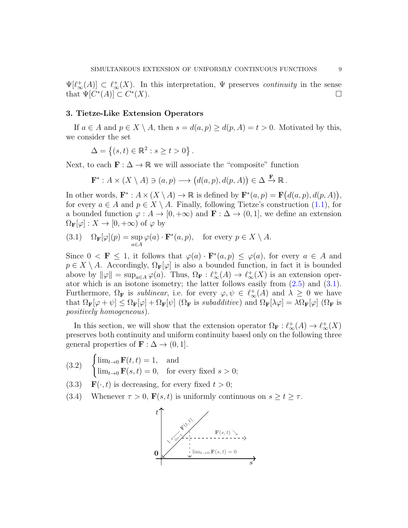$\Psi[\ell^+_{\infty}(A)] \subset \ell^+_{\infty}(X)$ . In this interpretation,  $\Psi$  preserves *continuity* in the sense that  $\Psi[C^*(A)] \subset C^*$  $(X)$ .

# <span id="page-8-0"></span>3. Tietze-Like Extension Operators

If  $a \in A$  and  $p \in X \setminus A$ , then  $s = d(a, p) \geq d(p, A) = t > 0$ . Motivated by this, we consider the set

 $\Delta = \{(s, t) \in \mathbb{R}^2 : s \ge t > 0\}.$ 

Next, to each  $\mathbf{F} : \Delta \to \mathbb{R}$  we will associate the "composite" function

<span id="page-8-4"></span>
$$
\mathbf{F}^* : A \times (X \setminus A) \ni (a, p) \longrightarrow (d(a, p), d(p, A)) \in \Delta \xrightarrow{\mathbf{F}} \mathbb{R} .
$$

In other words,  $\mathbf{F}^* : A \times (X \setminus A) \to \mathbb{R}$  is defined by  $\mathbf{F}^*(a, p) = \mathbf{F}(d(a, p), d(p, A)),$ for every  $a \in A$  and  $p \in X \setminus A$ . Finally, following Tietze's construction [\(1.1\)](#page-0-1), for a bounded function  $\varphi: A \to [0, +\infty)$  and  $\mathbf{F}: \Delta \to (0, 1]$ , we define an extension  $\Omega_{\mathbf{F}}[\varphi]: X \to [0, +\infty)$  of  $\varphi$  by

(3.1) 
$$
\Omega_{\mathbf{F}}[\varphi](p) = \sup_{a \in A} \varphi(a) \cdot \mathbf{F}^*(a, p), \text{ for every } p \in X \setminus A.
$$

Since  $0 \leq \mathbf{F} \leq 1$ , it follows that  $\varphi(a) \cdot \mathbf{F}^*(a, p) \leq \varphi(a)$ , for every  $a \in A$  and  $p \in X \setminus A$ . Accordingly,  $\Omega_{\mathbf{F}}[\varphi]$  is also a bounded function, in fact it is bounded above by  $\|\varphi\| = \sup_{a \in A} \varphi(a)$ . Thus,  $\Omega_{\mathbf{F}} : \ell^+_{\infty}(A) \to \ell^+_{\infty}(X)$  is an extension operator which is an isotone isometry; the latter follows easily from  $(2.5)$  and  $(3.1)$ . Furthermore,  $\Omega_{\mathbf{F}}$  is *sublinear*, i.e. for every  $\varphi, \psi \in \ell^{\pm}_{\infty}(A)$  and  $\lambda \geq 0$  we have that  $\Omega_{\mathbf{F}}[\varphi + \psi] \leq \Omega_{\mathbf{F}}[\varphi] + \Omega_{\mathbf{F}}[\psi] (\Omega_{\mathbf{F}} \text{ is subadditive})$  and  $\Omega_{\mathbf{F}}[\lambda \varphi] = \lambda \Omega_{\mathbf{F}}[\varphi] (\Omega_{\mathbf{F}} \text{ is}$ positively homogeneous).

In this section, we will show that the extension operator  $\Omega_{\mathbf{F}}: \ell^+_{\infty}(A) \to \ell^+_{\infty}(X)$ preserves both continuity and uniform continuity based only on the following three general properties of  $\mathbf{F} : \Delta \to (0, 1].$ 

<span id="page-8-1"></span>(3.2) 
$$
\begin{cases} \lim_{t \to 0} \mathbf{F}(t, t) = 1, & \text{and} \\ \lim_{t \to 0} \mathbf{F}(s, t) = 0, & \text{for every fixed } s > 0; \end{cases}
$$

<span id="page-8-2"></span>(3.3)  $\mathbf{F}(\cdot, t)$  is decreasing, for every fixed  $t > 0$ ;

<span id="page-8-3"></span>(3.4) Whenever  $\tau > 0$ ,  $\mathbf{F}(s,t)$  is uniformly continuous on  $s \ge t \ge \tau$ .

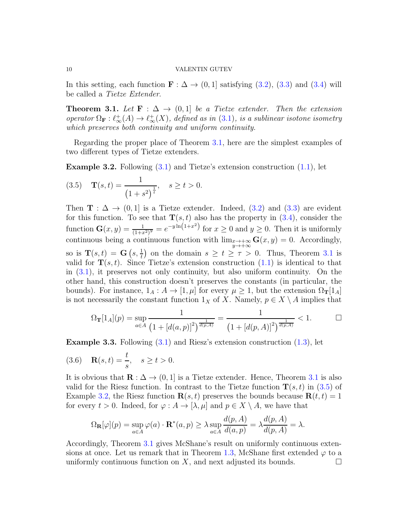In this setting, each function  $\mathbf{F} : \Delta \to (0, 1]$  satisfying  $(3.2)$ ,  $(3.3)$  and  $(3.4)$  will be called a Tietze Extender.

<span id="page-9-0"></span>**Theorem 3.1.** Let  $\mathbf{F} : \Delta \to (0,1]$  be a Tietze extender. Then the extension operator  $\Omega_{\mathbf{F}}: \ell_{\infty}^{+}(A) \to \ell_{\infty}^{+}(X)$ , defined as in [\(3.1\)](#page-8-4), is a sublinear isotone isometry which preserves both continuity and uniform continuity.

Regarding the proper place of Theorem [3.1,](#page-9-0) here are the simplest examples of two different types of Tietze extenders.

<span id="page-9-2"></span>Example 3.2. Following [\(3.1\)](#page-8-4) and Tietze's extension construction [\(1.1\)](#page-0-1), let

<span id="page-9-1"></span>(3.5) 
$$
\mathbf{T}(s,t) = \frac{1}{(1+s^2)^{\frac{1}{t}}}, \quad s \ge t > 0.
$$

Then  $\mathbf{T} : \Delta \to (0,1]$  is a Tietze extender. Indeed,  $(3.2)$  and  $(3.3)$  are evident for this function. To see that  $\mathbf{T}(s,t)$  also has the property in  $(3.4)$ , consider the function  $\mathbf{G}(x, y) = \frac{1}{(1+x^2)^y} = e^{-y \ln(1+x^2)}$  for  $x \ge 0$  and  $y \ge 0$ . Then it is uniformly continuous being a continuous function with  $\lim_{\substack{x \to +\infty \\ y \to +\infty}} \mathbf{G}(x, y) = 0$ . Accordingly, so is  $\mathbf{T}(s,t) = \mathbf{G}(s, \frac{1}{t})$  on the domain  $s \ge t \ge \tau > 0$ . Thus, Theorem [3.1](#page-9-0) is valid for  $\mathbf{T}(s,t)$ . Since Tietze's extension construction  $(1.1)$  is identical to that in [\(3.1\)](#page-8-4), it preserves not only continuity, but also uniform continuity. On the other hand, this construction doesn't preserves the constants (in particular, the bounds). For instance,  $1_A : A \to [1, \mu]$  for every  $\mu \geq 1$ , but the extension  $\Omega_{\rm T}[1_A]$ is not necessarily the constant function  $1_X$  of X. Namely,  $p \in X \setminus A$  implies that

<span id="page-9-3"></span>
$$
\Omega_{\mathbf{T}}[1_A](p) = \sup_{a \in A} \frac{1}{\left(1 + [d(a, p)]^2\right)^{\frac{1}{d(p, A)}}} = \frac{1}{\left(1 + [d(p, A)]^2\right)^{\frac{1}{d(p, A)}}} < 1. \quad \Box
$$

<span id="page-9-4"></span>Example 3.3. Following [\(3.1\)](#page-8-4) and Riesz's extension construction [\(1.3\)](#page-1-3), let

(3.6) 
$$
\mathbf{R}(s,t) = \frac{t}{s}, \quad s \ge t > 0.
$$

It is obvious that  $\mathbf{R} : \Delta \to (0, 1]$  is a Tietze extender. Hence, Theorem [3.1](#page-9-0) is also valid for the Riesz function. In contrast to the Tietze function  $\mathbf{T}(s,t)$  in [\(3.5\)](#page-9-1) of Example [3.2,](#page-9-2) the Riesz function  $\mathbf{R}(s,t)$  preserves the bounds because  $\mathbf{R}(t,t) = 1$ for every  $t > 0$ . Indeed, for  $\varphi : A \to [\lambda, \mu]$  and  $p \in X \setminus A$ , we have that

$$
\Omega_{\mathbf{R}}[\varphi](p) = \sup_{a \in A} \varphi(a) \cdot \mathbf{R}^*(a, p) \ge \lambda \sup_{a \in A} \frac{d(p, A)}{d(a, p)} = \lambda \frac{d(p, A)}{d(p, A)} = \lambda.
$$

Accordingly, Theorem [3.1](#page-9-0) gives McShane's result on uniformly continuous exten-sions at once. Let us remark that in Theorem [1.3,](#page-2-0) McShane first extended  $\varphi$  to a uniformly continuous function on X, and next adjusted its bounds.  $\Box$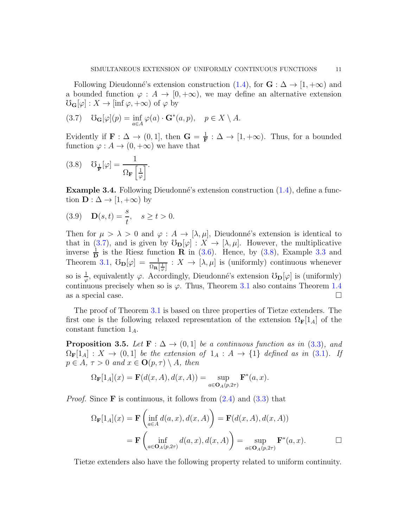Following Dieudonné's extension construction [\(1.4\)](#page-1-1), for  $\mathbf{G} : \Delta \to [1, +\infty)$  and a bounded function  $\varphi: A \to [0, +\infty)$ , we may define an alternative extension  $\mathcal{O}_{\mathbf{G}}[\varphi]: X \to [\inf \varphi, +\infty)$  of  $\varphi$  by

<span id="page-10-0"></span>(3.7) 
$$
\mathcal{O}_{\mathbf{G}}[\varphi](p) = \inf_{a \in A} \varphi(a) \cdot \mathbf{G}^*(a, p), \quad p \in X \setminus A.
$$

<span id="page-10-1"></span>Evidently if  $\mathbf{F}: \Delta \to (0,1]$ , then  $\mathbf{G} = \frac{1}{\mathbf{F}}: \Delta \to [1,+\infty)$ . Thus, for a bounded function  $\varphi : A \to (0, +\infty)$  we have that

(3.8) 
$$
\mathcal{U}_{\frac{1}{\mathbf{F}}}[\varphi] = \frac{1}{\Omega_{\mathbf{F}}\left[\frac{1}{\varphi}\right]}.
$$

**Example 3.4.** Following Dieudonné's extension construction  $(1.4)$ , define a function  $\mathbf{D} : \Delta \to [1, +\infty)$  by

(3.9) 
$$
\mathbf{D}(s,t) = \frac{s}{t}, \quad s \ge t > 0.
$$

Then for  $\mu > \lambda > 0$  and  $\varphi : A \to [\lambda, \mu]$ , Dieudonné's extension is identical to that in [\(3.7\)](#page-10-0), and is given by  $\mathcal{O}_{\mathbf{D}}[\varphi] : X \to [\lambda, \mu]$ . However, the multiplicative inverse  $\frac{1}{D}$  is the Riesz function **R** in [\(3.6\)](#page-9-3). Hence, by [\(3.8\)](#page-10-1), Example [3.3](#page-9-4) and Theorem [3.1,](#page-9-0)  $\mathcal{O}_{\mathbf{D}}[\varphi] = \frac{1}{\Omega_{\mathbf{R}}[\frac{1}{\varphi}]} : X \to [\lambda, \mu]$  is (uniformly) continuous whenever so is  $\frac{1}{\varphi}$ , equivalently  $\varphi$ . Accordingly, Dieudonné's extension  $\mathcal{V}_{\mathbf{D}}[\varphi]$  is (uniformly) continuous precisely when so is  $\varphi$ . Thus, Theorem [3.1](#page-9-0) also contains Theorem [1.4](#page-2-2) as a special case.  $\Box$ 

The proof of Theorem [3.1](#page-9-0) is based on three properties of Tietze extenders. The first one is the following relaxed representation of the extension  $\Omega_{\mathbf{F}}[1_A]$  of the constant function  $1_A$ .

<span id="page-10-2"></span>**Proposition 3.5.** Let  $\mathbf{F} : \Delta \to (0, 1]$  be a continuous function as in [\(3.3\)](#page-8-2), and  $\Omega_{\mathbf{F}}[1_A]: X \to (0,1]$  be the extension of  $1_A : A \to \{1\}$  defined as in [\(3.1\)](#page-8-4). If  $p \in A$ ,  $\tau > 0$  and  $x \in \mathbf{O}(p, \tau) \setminus A$ , then

$$
\Omega_{\mathbf{F}}[1_A](x) = \mathbf{F}(d(x,A), d(x,A)) = \sup_{a \in \mathbf{O}_A(p, 2\tau)} \mathbf{F}^*(a, x).
$$

*Proof.* Since **F** is continuous, it follows from  $(2.4)$  and  $(3.3)$  that

$$
\Omega_{\mathbf{F}}[1_A](x) = \mathbf{F}\left(\inf_{a \in A} d(a, x), d(x, A)\right) = \mathbf{F}(d(x, A), d(x, A))
$$

$$
= \mathbf{F}\left(\inf_{a \in \mathbf{O}_A(p, 2\tau)} d(a, x), d(x, A)\right) = \sup_{a \in \mathbf{O}_A(p, 2\tau)} \mathbf{F}^*(a, x).
$$

Tietze extenders also have the following property related to uniform continuity.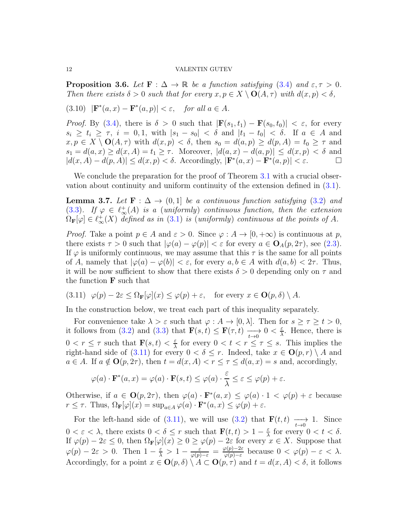<span id="page-11-2"></span>**Proposition 3.6.** Let  $\mathbf{F} : \Delta \to \mathbb{R}$  be a function satisfying [\(3.4\)](#page-8-3) and  $\varepsilon, \tau > 0$ . Then there exists  $\delta > 0$  such that for every  $x, p \in X \setminus \mathbf{O}(A, \tau)$  with  $d(x, p) < \delta$ ,

<span id="page-11-3"></span>(3.10)  $|\mathbf{F}^*(a,x) - \mathbf{F}^*(a,p)| < \varepsilon$ , for all  $a \in A$ .

*Proof.* By [\(3.4\)](#page-8-3), there is  $\delta > 0$  such that  $|\mathbf{F}(s_1, t_1) - \mathbf{F}(s_0, t_0)| < \varepsilon$ , for every  $s_i \geq t_i \geq \tau$ ,  $i = 0, 1$ , with  $|s_1 - s_0| < \delta$  and  $|t_1 - t_0| < \delta$ . If  $a \in A$  and  $x, p \in X \setminus \mathbf{O}(A, \tau)$  with  $d(x, p) < \delta$ , then  $s_0 = d(a, p) \geq d(p, A) = t_0 \geq \tau$  and  $s_1 = d(a, x) \geq d(x, A) = t_1 \geq \tau$ . Moreover,  $|d(a, x) - d(a, p)| \leq d(x, p) < \delta$  and  $|d(x, A) - d(p, A)| \leq d(x, p) < \delta$ . Accordingly,  $|\mathbf{F}^*(a, x) - \mathbf{F}^*(a, p)| < \varepsilon$ .

We conclude the preparation for the proof of Theorem [3.1](#page-9-0) with a crucial observation about continuity and uniform continuity of the extension defined in [\(3.1\)](#page-8-4).

<span id="page-11-1"></span>**Lemma 3.7.** Let  $\mathbf{F} : \Delta \to (0,1]$  be a continuous function satisfying [\(3.2\)](#page-8-1) and [\(3.3\)](#page-8-2). If  $\varphi \in \ell^{\pm}_{\infty}(A)$  is a (uniformly) continuous function, then the extension  $\Omega_{\mathbf{F}}[\varphi]\in \ell_{\infty}^{+}(X)$  defined as in [\(3.1\)](#page-8-4) is (uniformly) continuous at the points of A.

*Proof.* Take a point  $p \in A$  and  $\varepsilon > 0$ . Since  $\varphi : A \to [0, +\infty)$  is continuous at p, there exists  $\tau > 0$  such that  $|\varphi(a) - \varphi(p)| < \varepsilon$  for every  $a \in \mathbf{O}_A(p, 2\tau)$ , see [\(2.3\)](#page-6-3). If  $\varphi$  is uniformly continuous, we may assume that this  $\tau$  is the same for all points of A, namely that  $|\varphi(a) - \varphi(b)| < \varepsilon$ , for every  $a, b \in A$  with  $d(a, b) < 2\tau$ . Thus, it will be now sufficient to show that there exists  $\delta > 0$  depending only on  $\tau$  and the function F such that

<span id="page-11-0"></span>
$$
(3.11) \varphi(p) - 2\varepsilon \le \Omega_{\mathbf{F}}[\varphi](x) \le \varphi(p) + \varepsilon, \quad \text{for every } x \in \mathbf{O}(p,\delta) \setminus A.
$$

In the construction below, we treat each part of this inequality separately.

For convenience take  $\lambda > \varepsilon$  such that  $\varphi : A \to [0, \lambda]$ . Then for  $s \ge \tau \ge t > 0$ , it follows from [\(3.2\)](#page-8-1) and [\(3.3\)](#page-8-2) that  $\mathbf{F}(s,t) \leq \mathbf{F}(\tau,t) \xrightarrow[t \to 0]{} 0 < \frac{\varepsilon}{\lambda}$  $\frac{\varepsilon}{\lambda}$ . Hence, there is  $0 < r \leq \tau$  such that  $\mathbf{F}(s,t) < \frac{\varepsilon}{\lambda}$  $\frac{\varepsilon}{\lambda}$  for every  $0 < t < r \leq \tau \leq s$ . This implies the right-hand side of [\(3.11\)](#page-11-0) for every  $0 < \delta \leq r$ . Indeed, take  $x \in O(p,r) \setminus A$  and  $a \in A$ . If  $a \notin \mathbf{O}(p, 2\tau)$ , then  $t = d(x, A) < r \leq \tau \leq d(a, x) = s$  and, accordingly,

$$
\varphi(a) \cdot \mathbf{F}^*(a, x) = \varphi(a) \cdot \mathbf{F}(s, t) \le \varphi(a) \cdot \frac{\varepsilon}{\lambda} \le \varepsilon \le \varphi(p) + \varepsilon.
$$

Otherwise, if  $a \in \mathbf{O}(p, 2\tau)$ , then  $\varphi(a) \cdot \mathbf{F}^*(a, x) \leq \varphi(a) \cdot 1 < \varphi(p) + \varepsilon$  because  $r \leq \tau$ . Thus,  $\Omega_{\mathbf{F}}[\varphi](x) = \sup_{a \in A} \varphi(a) \cdot \mathbf{F}^*(a, x) \leq \varphi(p) + \varepsilon$ .

For the left-hand side of [\(3.11\)](#page-11-0), we will use [\(3.2\)](#page-8-1) that  $\mathbf{F}(t,t) \longrightarrow_{t\to 0} 1$ . Since  $0 < \varepsilon < \lambda$ , there exists  $0 < \delta \leq r$  such that  $\mathbf{F}(t, t) > 1 - \frac{\varepsilon}{\lambda}$  $\frac{\varepsilon}{\lambda}$  for every  $0 < t < \delta$ . If  $\varphi(p) - 2\varepsilon \leq 0$ , then  $\Omega_{\mathbf{F}}[\varphi](x) \geq 0 \geq \varphi(p) - 2\varepsilon$  for every  $x \in X$ . Suppose that  $\varphi(p) - 2\varepsilon > 0$ . Then  $1 - \frac{\varepsilon}{\lambda} > 1 - \frac{\varepsilon}{\varphi(p) - \varepsilon} = \frac{\varphi(p) - 2\varepsilon}{\varphi(p) - \varepsilon}$  $\frac{\rho(p)-2\varepsilon}{\varphi(p)-\varepsilon}$  because  $0 < \varphi(p)-\varepsilon < \lambda$ . Accordingly, for a point  $x \in \mathbf{O}(p, \delta) \setminus A \subset \mathbf{O}(p, \tau)$  and  $t = d(x, A) < \delta$ , it follows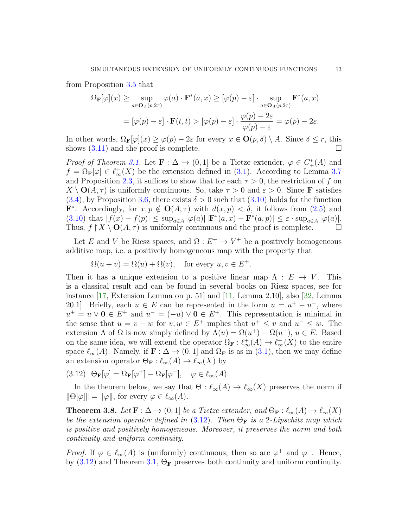from Proposition [3.5](#page-10-2) that

$$
\Omega_{\mathbf{F}}[\varphi](x) \ge \sup_{a \in \mathbf{O}_A(p, 2\tau)} \varphi(a) \cdot \mathbf{F}^*(a, x) \ge [\varphi(p) - \varepsilon] \cdot \sup_{a \in \mathbf{O}_A(p, 2\tau)} \mathbf{F}^*(a, x)
$$

$$
= [\varphi(p) - \varepsilon] \cdot \mathbf{F}(t, t) > [\varphi(p) - \varepsilon] \cdot \frac{\varphi(p) - 2\varepsilon}{\varphi(p) - \varepsilon} = \varphi(p) - 2\varepsilon.
$$

In other words,  $\Omega_{\mathbf{F}}[\varphi](x) \geq \varphi(p) - 2\varepsilon$  for every  $x \in \mathbf{O}(p,\delta) \setminus A$ . Since  $\delta \leq r$ , this shows  $(3.11)$  and the proof is complete.

*Proof of Theorem [3.1.](#page-9-0)* Let  $\mathbf{F} : \Delta \to (0,1]$  be a Tietze extender,  $\varphi \in C^*_+(A)$  and  $f = \Omega_{\mathbf{F}}[\varphi] \in \ell^{\infty}_{\infty}(X)$  be the extension defined in [\(3.1\)](#page-8-4). According to Lemma [3.7](#page-11-1) and Proposition [2.3,](#page-6-1) it suffices to show that for each  $\tau > 0$ , the restriction of f on  $X \setminus \mathbf{O}(A, \tau)$  is uniformly continuous. So, take  $\tau > 0$  and  $\varepsilon > 0$ . Since **F** satisfies  $(3.4)$ , by Proposition [3.6,](#page-11-2) there exists  $\delta > 0$  such that  $(3.10)$  holds for the function **F**<sup>\*</sup>. Accordingly, for  $x, p \notin \mathbf{O}(A, \tau)$  with  $d(x, p) < \delta$ , it follows from [\(2.5\)](#page-6-2) and [\(3.10\)](#page-11-3) that  $|f(x) - f(p)| \le \sup_{a \in A} |\varphi(a)| |\mathbf{F}^*(a, x) - \mathbf{F}^*(a, p)| \le \varepsilon \cdot \sup_{a \in A} |\varphi(a)|$ . Thus,  $f \upharpoonright X \setminus \mathbf{O}(A, \tau)$  is uniformly continuous and the proof is complete.  $\Box$ 

Let E and V be Riesz spaces, and  $\Omega: E^+ \to V^+$  be a positively homogeneous additive map, i.e. a positively homogeneous map with the property that

$$
\Omega(u + v) = \Omega(u) + \Omega(v), \quad \text{for every } u, v \in E^+.
$$

Then it has a unique extension to a positive linear map  $\Lambda : E \to V$ . This is a classical result and can be found in several books on Riesz spaces, see for instance [\[17,](#page-16-17) Extension Lemma on p. 51] and [\[11,](#page-16-18) Lemma 2.10], also [\[32,](#page-17-10) Lemma 20.1]. Briefly, each  $u \in E$  can be represented in the form  $u = u^+ - u^-$ , where  $u^+ = u \vee \mathbf{0} \in E^+$  and  $u^- = (-u) \vee \mathbf{0} \in E^+$ . This representation is minimal in the sense that  $u = v - w$  for  $v, w \in E^+$  implies that  $u^+ \leq v$  and  $u^- \leq w$ . The extension  $\Lambda$  of  $\Omega$  is now simply defined by  $\Lambda(u) = \Omega(u^+) - \Omega(u^-)$ ,  $u \in E$ . Based on the same idea, we will extend the operator  $\Omega_{\mathbf{F}}: \ell^{\pm}_{\infty}(A) \to \ell^{\pm}_{\infty}(X)$  to the entire space  $\ell_{\infty}(A)$ . Namely, if  $\mathbf{F} : \Delta \to (0, 1]$  and  $\Omega_{\mathbf{F}}$  is as in [\(3.1\)](#page-8-4), then we may define an extension operator  $\Theta_{\mathbf{F}} : \ell_{\infty}(A) \to \ell_{\infty}(X)$  by

<span id="page-12-1"></span>(3.12) 
$$
\Theta_{\mathbf{F}}[\varphi] = \Omega_{\mathbf{F}}[\varphi^+] - \Omega_{\mathbf{F}}[\varphi^-], \quad \varphi \in \ell_{\infty}(A).
$$

In the theorem below, we say that  $\Theta : \ell_{\infty}(A) \to \ell_{\infty}(X)$  preserves the norm if  $\|\Theta[\varphi]\| = \|\varphi\|$ , for every  $\varphi \in \ell_{\infty}(A)$ .

<span id="page-12-0"></span>**Theorem 3.8.** Let  $\mathbf{F} : \Delta \to (0,1]$  be a Tietze extender, and  $\Theta_{\mathbf{F}} : \ell_{\infty}(A) \to \ell_{\infty}(X)$ be the extension operator defined in [\(3.12\)](#page-12-1). Then  $\Theta_{\bf F}$  is a 2-Lipschitz map which is positive and positively homogeneous. Moreover, it preserves the norm and both continuity and uniform continuity.

*Proof.* If  $\varphi \in \ell_{\infty}(A)$  is (uniformly) continuous, then so are  $\varphi^+$  and  $\varphi^-$ . Hence, by  $(3.12)$  and Theorem [3.1,](#page-9-0)  $\Theta_F$  preserves both continuity and uniform continuity.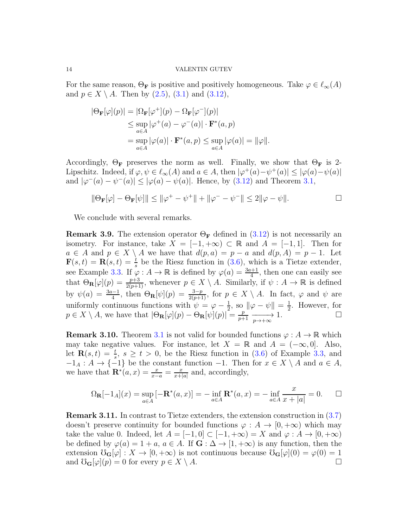For the same reason,  $\Theta_{\mathbf{F}}$  is positive and positively homogeneous. Take  $\varphi \in \ell_{\infty}(A)$ and  $p \in X \setminus A$ . Then by  $(2.5)$ ,  $(3.1)$  and  $(3.12)$ ,

$$
|\Theta_{\mathbf{F}}[\varphi](p)| = |\Omega_{\mathbf{F}}[\varphi^+](p) - \Omega_{\mathbf{F}}[\varphi^-](p)|
$$
  
\n
$$
\leq \sup_{a \in A} |\varphi^+(a) - \varphi^-(a)| \cdot \mathbf{F}^*(a, p)
$$
  
\n
$$
= \sup_{a \in A} |\varphi(a)| \cdot \mathbf{F}^*(a, p) \leq \sup_{a \in A} |\varphi(a)| = ||\varphi||.
$$

Accordingly,  $\Theta_{\mathbf{F}}$  preserves the norm as well. Finally, we show that  $\Theta_{\mathbf{F}}$  is 2-Lipschitz. Indeed, if  $\varphi, \psi \in \ell_{\infty}(A)$  and  $a \in A$ , then  $|\varphi^+(a) - \psi^+(a)| \leq |\varphi(a) - \psi(a)|$ and  $|\varphi^{-}(a) - \psi^{-}(a)| \leq |\varphi(a) - \psi(a)|$ . Hence, by [\(3.12\)](#page-12-1) and Theorem [3.1,](#page-9-0)

$$
\|\Theta_{\mathbf{F}}[\varphi] - \Theta_{\mathbf{F}}[\psi]\| \le \|\varphi^+ - \psi^+\| + \|\varphi^- - \psi^-\| \le 2\|\varphi - \psi\|.
$$

We conclude with several remarks.

**Remark 3.9.** The extension operator  $\Theta_{\mathbf{F}}$  defined in [\(3.12\)](#page-12-1) is not necessarily an isometry. For instance, take  $X = [-1, +\infty) \subset \mathbb{R}$  and  $A = [-1, 1]$ . Then for  $a \in A$  and  $p \in X \setminus A$  we have that  $d(p, a) = p - a$  and  $d(p, A) = p - 1$ . Let  $\mathbf{F}(s,t) = \mathbf{R}(s,t) = \frac{t}{s}$  be the Riesz function in [\(3.6\)](#page-9-3), which is a Tietze extender, see Example [3.3.](#page-9-4) If  $\varphi: A \to \mathbb{R}$  is defined by  $\varphi(a) = \frac{3a+1}{4}$ , then one can easily see that  $\Theta_{\mathbf{R}}[\varphi](p) = \frac{p+3}{2(p+1)}$ , whenever  $p \in X \setminus A$ . Similarly, if  $\psi : A \to \mathbb{R}$  is defined by  $\psi(a) = \frac{3a-1}{4}$ , then  $\Theta_{\mathbf{R}}[\psi](p) = \frac{3-p}{2(p+1)}$ , for  $p \in X \setminus A$ . In fact,  $\varphi$  and  $\psi$  are uniformly continuous functions with  $\psi = \varphi - \frac{1}{2}$  $\frac{1}{2}$ , so  $\|\varphi - \psi\| = \frac{1}{2}$  $\frac{1}{2}$ . However, for  $p \in X \setminus A$ , we have that  $|\Theta_{\mathbf{R}}[\varphi](p) - \Theta_{\mathbf{R}}[\psi](p)| = \frac{p}{p+1} \xrightarrow[p \to +\infty]{} 1.$ 

**Remark [3.1](#page-9-0)0.** Theorem 3.1 is not valid for bounded functions  $\varphi : A \to \mathbb{R}$  which may take negative values. For instance, let  $X = \mathbb{R}$  and  $A = (-\infty, 0]$ . Also, let  $\mathbf{R}(s,t) = \frac{t}{s}$ ,  $s \ge t > 0$ , be the Riesz function in [\(3.6\)](#page-9-3) of Example [3.3,](#page-9-4) and  $-1_A : A \to \{-1\}$  be the constant function  $-1$ . Then for  $x \in X \setminus A$  and  $a \in A$ , we have that  $\mathbf{R}^*(a, x) = \frac{x}{x-a} = \frac{x}{x+a}$  $\frac{x}{x+|a|}$  and, accordingly,

$$
\Omega_{\mathbf{R}}[-1_A](x) = \sup_{a \in A} \left[ -\mathbf{R}^*(a, x) \right] = -\inf_{a \in A} \mathbf{R}^*(a, x) = -\inf_{a \in A} \frac{x}{x + |a|} = 0. \qquad \Box
$$

<span id="page-13-0"></span>Remark 3.11. In contrast to Tietze extenders, the extension construction in [\(3.7\)](#page-10-0) doesn't preserve continuity for bounded functions  $\varphi : A \to [0, +\infty)$  which may take the value 0. Indeed, let  $A = [-1, 0] \subset [-1, +\infty) = X$  and  $\varphi : A \to [0, +\infty)$ be defined by  $\varphi(a) = 1 + a, a \in A$ . If  $\mathbf{G} : \Delta \to [1, +\infty)$  is any function, then the extension  $\mathcal{O}_{\mathbf{G}}[\varphi]: X \to [0, +\infty)$  is not continuous because  $\mathcal{O}_{\mathbf{G}}[\varphi](0) = \varphi(0) = 1$ and  $\mathcal{O}_{\mathbf{G}}[\varphi](p) = 0$  for every  $p \in X \setminus A$ .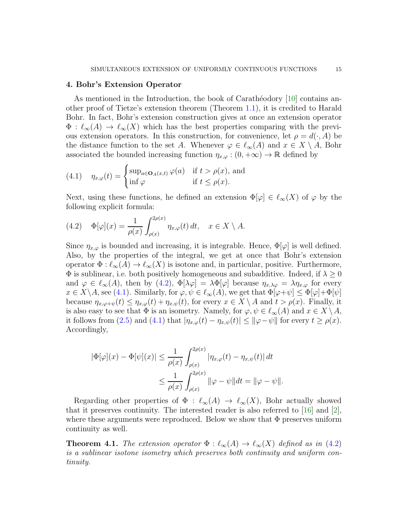# 4. Bohr's Extension Operator

As mentioned in the Introduction, the book of Carathéodory  $[10]$  contains another proof of Tietze's extension theorem (Theorem [1.1\)](#page-0-0), it is credited to Harald Bohr. In fact, Bohr's extension construction gives at once an extension operator  $\Phi: \ell_{\infty}(A) \to \ell_{\infty}(X)$  which has the best properties comparing with the previous extension operators. In this construction, for convenience, let  $\rho = d(\cdot, A)$  be the distance function to the set A. Whenever  $\varphi \in \ell_{\infty}(A)$  and  $x \in X \setminus A$ , Bohr associated the bounded increasing function  $\eta_{x,\varphi} : (0, +\infty) \to \mathbb{R}$  defined by

<span id="page-14-2"></span>(4.1) 
$$
\eta_{x,\varphi}(t) = \begin{cases} \sup_{a \in \mathbf{O}_A(x,t)} \varphi(a) & \text{if } t > \rho(x), \text{ and} \\ \inf \varphi & \text{if } t \le \rho(x). \end{cases}
$$

Next, using these functions, he defined an extension  $\Phi[\varphi] \in \ell_{\infty}(X)$  of  $\varphi$  by the following explicit formula:

<span id="page-14-1"></span>(4.2) 
$$
\Phi[\varphi](x) = \frac{1}{\rho(x)} \int_{\rho(x)}^{2\rho(x)} \eta_{x,\varphi}(t) dt, \quad x \in X \setminus A.
$$

Since  $\eta_{x,\varphi}$  is bounded and increasing, it is integrable. Hence,  $\Phi[\varphi]$  is well defined. Also, by the properties of the integral, we get at once that Bohr's extension operator  $\Phi: \ell_{\infty}(A) \to \ell_{\infty}(X)$  is isotone and, in particular, positive. Furthermore,  $\Phi$  is sublinear, i.e. both positively homogeneous and subadditive. Indeed, if  $\lambda \geq 0$ and  $\varphi \in \ell_{\infty}(A)$ , then by  $(4.2)$ ,  $\Phi[\lambda \varphi] = \lambda \Phi[\varphi]$  because  $\eta_{x,\lambda \varphi} = \lambda \eta_{x,\varphi}$  for every  $x \in X \backslash A$ , see [\(4.1\)](#page-14-2). Similarly, for  $\varphi, \psi \in \ell_{\infty}(A)$ , we get that  $\Phi[\varphi + \psi] \leq \Phi[\varphi] + \Phi[\psi]$ because  $\eta_{x,\varphi+\psi}(t) \leq \eta_{x,\varphi}(t) + \eta_{x,\psi}(t)$ , for every  $x \in X \setminus A$  and  $t > \rho(x)$ . Finally, it is also easy to see that  $\Phi$  is an isometry. Namely, for  $\varphi, \psi \in \ell_{\infty}(A)$  and  $x \in X \setminus A$ , it follows from [\(2.5\)](#page-6-2) and [\(4.1\)](#page-14-2) that  $|\eta_{x,\varphi}(t) - \eta_{x,\psi}(t)| \leq ||\varphi - \psi||$  for every  $t \geq \rho(x)$ . Accordingly,

$$
|\Phi[\varphi](x) - \Phi[\psi](x)| \le \frac{1}{\rho(x)} \int_{\rho(x)}^{2\rho(x)} |\eta_{x,\varphi}(t) - \eta_{x,\psi}(t)| dt
$$
  

$$
\le \frac{1}{\rho(x)} \int_{\rho(x)}^{2\rho(x)} ||\varphi - \psi|| dt = ||\varphi - \psi||.
$$

Regarding other properties of  $\Phi : \ell_{\infty}(A) \to \ell_{\infty}(X)$ , Bohr actually showed that it preserves continuity. The interested reader is also referred to  $[16]$  and  $[2]$ , where these arguments were reproduced. Below we show that  $\Phi$  preserves uniform continuity as well.

<span id="page-14-0"></span>**Theorem 4.1.** The extension operator  $\Phi : \ell_{\infty}(A) \to \ell_{\infty}(X)$  defined as in [\(4.2\)](#page-14-1) is a sublinear isotone isometry which preserves both continuity and uniform continuity.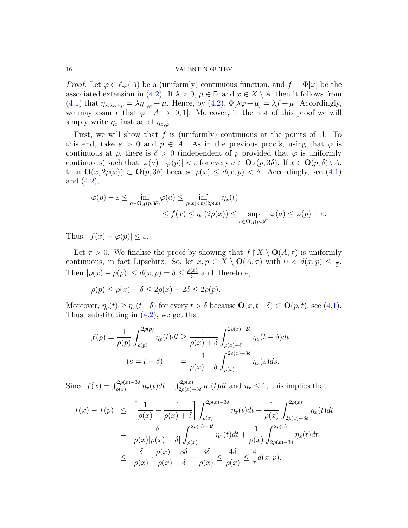*Proof.* Let  $\varphi \in \ell_{\infty}(A)$  be a (uniformly) continuous function, and  $f = \Phi[\varphi]$  be the associated extension in [\(4.2\)](#page-14-1). If  $\lambda > 0$ ,  $\mu \in \mathbb{R}$  and  $x \in X \setminus A$ , then it follows from [\(4.1\)](#page-14-2) that  $\eta_{x,\lambda\varphi+\mu} = \lambda \eta_{x,\varphi} + \mu$ . Hence, by [\(4.2\)](#page-14-1),  $\Phi[\lambda\varphi+\mu] = \lambda f + \mu$ . Accordingly, we may assume that  $\varphi: A \to [0,1]$ . Moreover, in the rest of this proof we will simply write  $\eta_x$  instead of  $\eta_{x,\varphi}$ .

First, we will show that f is (uniformly) continuous at the points of  $A$ . To this end, take  $\varepsilon > 0$  and  $p \in A$ . As in the previous proofs, using that  $\varphi$  is continuous at p, there is  $\delta > 0$  (independent of p provided that  $\varphi$  is uniformly continuous) such that  $|\varphi(a)-\varphi(p)| < \varepsilon$  for every  $a \in \mathbf{O}_A(p, 3\delta)$ . If  $x \in \mathbf{O}(p, \delta) \setminus A$ , then  $\mathbf{O}(x, 2\rho(x)) \subset \mathbf{O}(p, 3\delta)$  because  $\rho(x) \leq d(x, p) < \delta$ . Accordingly, see [\(4.1\)](#page-14-2) and [\(4.2\)](#page-14-1),

$$
\varphi(p) - \varepsilon \le \inf_{a \in \mathbf{O}_A(p, 3\delta)} \varphi(a) \le \inf_{\rho(x) < t \le 2\rho(x)} \eta_x(t)
$$
\n
$$
\le f(x) \le \eta_x(2\rho(x)) \le \sup_{a \in \mathbf{O}_A(p, 3\delta)} \varphi(a) \le \varphi(p) + \varepsilon.
$$

Thus,  $|f(x) - \varphi(p)| \leq \varepsilon$ .

Let  $\tau > 0$ . We finalise the proof by showing that  $f \upharpoonright X \setminus \mathbf{O}(A, \tau)$  is uniformly continuous, in fact Lipschitz. So, let  $x, p \in X \setminus \mathbf{O}(A, \tau)$  with  $0 < d(x, p) \leq \frac{\tau}{3}$  $\frac{\tau}{3}$ . Then  $|\rho(x) - \rho(p)| \leq d(x, p) = \delta \leq \frac{\rho(x)}{3}$  $\frac{d}{3}$  and, therefore,

$$
\rho(p) \le \rho(x) + \delta \le 2\rho(x) - 2\delta \le 2\rho(p).
$$

Moreover,  $\eta_p(t) \geq \eta_x(t-\delta)$  for every  $t > \delta$  because  $\mathbf{O}(x, t-\delta) \subset \mathbf{O}(p, t)$ , see [\(4.1\)](#page-14-2). Thus, substituting in  $(4.2)$ , we get that

$$
f(p) = \frac{1}{\rho(p)} \int_{\rho(p)}^{2\rho(p)} \eta_p(t) dt \ge \frac{1}{\rho(x) + \delta} \int_{\rho(x) + \delta}^{2\rho(x) - 2\delta} \eta_x(t - \delta) dt
$$
  

$$
(s = t - \delta) = \frac{1}{\rho(x) + \delta} \int_{\rho(x)}^{2\rho(x) - 3\delta} \eta_x(s) ds.
$$

Since  $f(x) = \int_{\rho(x)}^{2\rho(x)-3\delta} \eta_x(t)dt + \int_{2\rho(x)-3\delta}^{2\rho(x)} \eta_x(t)dt$  and  $\eta_x \le 1$ , this implies that

$$
f(x) - f(p) \leq \left[\frac{1}{\rho(x)} - \frac{1}{\rho(x) + \delta}\right] \int_{\rho(x)}^{2\rho(x) - 3\delta} \eta_x(t)dt + \frac{1}{\rho(x)} \int_{2\rho(x) - 3\delta}^{2\rho(x)} \eta_x(t)dt
$$
  

$$
= \frac{\delta}{\rho(x)[\rho(x) + \delta]} \int_{\rho(x)}^{2\rho(x) - 3\delta} \eta_x(t)dt + \frac{1}{\rho(x)} \int_{2\rho(x) - 3\delta}^{2\rho(x)} \eta_x(t)dt
$$
  

$$
\leq \frac{\delta}{\rho(x)} \cdot \frac{\rho(x) - 3\delta}{\rho(x) + \delta} + \frac{3\delta}{\rho(x)} \leq \frac{4\delta}{\rho(x)} \leq \frac{4}{\tau}d(x, p).
$$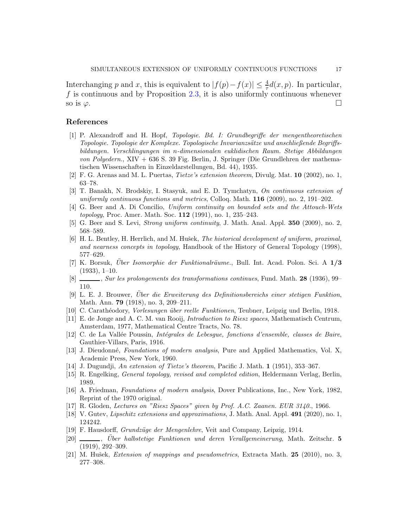Interchanging p and x, this is equivalent to  $|f(p) - f(x)| \leq \frac{4}{\tau} d(x, p)$ . In particular, f is continuous and by Proposition [2.3,](#page-6-1) it is also uniformly continuous whenever so is  $\varphi$ .

# <span id="page-16-4"></span>References

- [1] P. Alexandroff and H. Hopf, Topologie. Bd. I: Grundbegriffe der mengentheoretischen Topologie. Topologie der Komplexe. Topologische Invarianzsätze und anschließende Begriffsbildungen. Verschlingungen im n-dimensionalen euklidischen Raum. Stetige Abbildungen von Polyedern.,  $XIV + 636 S$ . 39 Fig. Berlin, J. Springer (Die Grundlehren der mathematischen Wissenschaften in Einzeldarstellungen, Bd. 44), 1935.
- <span id="page-16-20"></span><span id="page-16-12"></span>[2] F. G. Arenas and M. L. Puertas, Tietze's extension theorem, Divulg. Mat. 10 (2002), no. 1, 63–78.
- [3] T. Banakh, N. Brodskiy, I. Stasyuk, and E. D. Tymchatyn, On continuous extension of uniformly continuous functions and metrics, Colloq. Math.  $116$  (2009), no. 2, 191–202.
- <span id="page-16-15"></span>[4] G. Beer and A. Di Concilio, Uniform continuity on bounded sets and the Attouch-Wets *topology*, Proc. Amer. Math. Soc.  $112$  (1991), no. 1, 235–243.
- <span id="page-16-16"></span><span id="page-16-9"></span>[5] G. Beer and S. Levi, *Strong uniform continuity*, J. Math. Anal. Appl. **350** (2009), no. 2, 568–589.
- [6] H. L. Bentley, H. Herrlich, and M. Hušek, The historical development of uniform, proximal, and nearness concepts in topology, Handbook of the History of General Topology (1998), 577–629.
- <span id="page-16-7"></span>[7] K. Borsuk, Uber Isomorphie der Funktionalräume., Bull. Int. Acad. Polon. Sci. A 1/3 (1933), 1–10.
- <span id="page-16-13"></span><span id="page-16-2"></span>[8] , Sur les prolongements des transformations continues, Fund. Math. 28 (1936), 99– 110.
- [9] L. E. J. Brouwer, Uber die Erweiterung des Definitionsbereichs einer stetigen Funktion, Math. Ann. 79 (1918), no. 3, 209–211.
- <span id="page-16-18"></span><span id="page-16-1"></span>[10] C. Carathéodory, *Vorlesungen über reelle Funktionen*, Teubner, Leipzig und Berlin, 1918.
- [11] E. de Jonge and A. C. M. van Rooij, Introduction to Riesz spaces, Mathematisch Centrum, Amsterdam, 1977, Mathematical Centre Tracts, No. 78.
- <span id="page-16-0"></span>[12] C. de La Vallée Poussin, *Intégrales de Lebesque, fonctions d'ensemble, classes de Baire*, Gauthier-Villars, Paris, 1916.
- <span id="page-16-5"></span>[13] J. Dieudonné, Foundations of modern analysis, Pure and Applied Mathematics, Vol. X, Academic Press, New York, 1960.
- <span id="page-16-11"></span><span id="page-16-6"></span>[14] J. Dugundji, An extension of Tietze's theorem, Pacific J. Math. 1 (1951), 353–367.
- <span id="page-16-19"></span>[15] R. Engelking, General topology, revised and completed edition, Heldermann Verlag, Berlin, 1989.
- [16] A. Friedman, Foundations of modern analysis, Dover Publications, Inc., New York, 1982, Reprint of the 1970 original.
- <span id="page-16-17"></span><span id="page-16-14"></span>[17] R. Gloden, Lectures on "Riesz Spaces" given by Prof. A.C. Zaanen. EUR 3140., 1966.
- <span id="page-16-8"></span>[18] V. Gutev, Lipschitz extensions and approximations, J. Math. Anal. Appl. 491 (2020), no. 1, 124242.
- <span id="page-16-3"></span>[19] F. Hausdorff, *Grundzüge der Mengenlehre*, Veit and Company, Leipzig, 1914.
- $[20]$  , Uber halbstetige Funktionen und deren Verallgemeinerung, Math. Zeitschr. 5 (1919), 292–309.
- <span id="page-16-10"></span>[21] M. Hušek, *Extension of mappings and pseudometrics*, Extracta Math.  $25$  (2010), no. 3, 277–308.